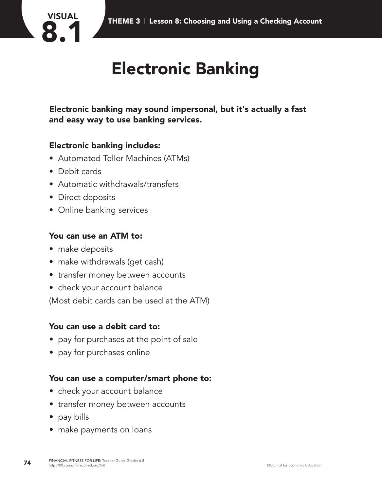

## **Electronic Banking**

**Electronic banking may sound impersonal, but it's actually a fast and easy way to use banking services.**

### **Electronic banking includes:**

- Automated Teller Machines (ATMs)
- Debit cards

**VISUAL**

- Automatic withdrawals/transfers
- Direct deposits
- Online banking services

#### **You can use an ATM to:**

- make deposits
- make withdrawals (get cash)
- transfer money between accounts
- check your account balance

(Most debit cards can be used at the ATM)

#### **You can use a debit card to:**

- pay for purchases at the point of sale
- pay for purchases online

#### **You can use a computer/smart phone to:**

- check your account balance
- transfer money between accounts
- pay bills
- make payments on loans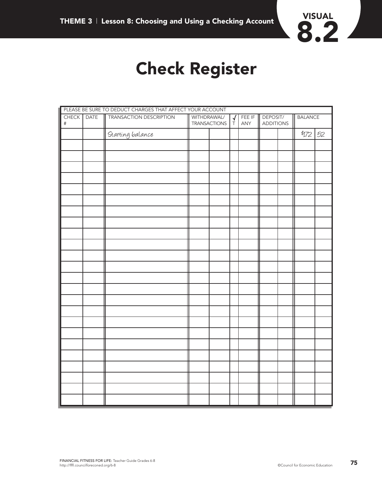

### **Check Register**

|               |             | PLEASE BE SURE TO DEDUCT CHARGES THAT AFFECT YOUR ACCOUNT |                             |  |                |               |                              |  |                |    |
|---------------|-------------|-----------------------------------------------------------|-----------------------------|--|----------------|---------------|------------------------------|--|----------------|----|
| CHECK<br>$\#$ | <b>DATE</b> | TRANSACTION DESCRIPTION                                   | WITHDRAWAL/<br>TRANSACTIONS |  | $\overline{P}$ | FEE IF<br>ANY | DEPOSIT/<br><b>ADDITIONS</b> |  | <b>BALANCE</b> |    |
|               |             | Starting balance                                          |                             |  |                |               |                              |  | \$172          | 52 |
|               |             |                                                           |                             |  |                |               |                              |  |                |    |
|               |             |                                                           |                             |  |                |               |                              |  |                |    |
|               |             |                                                           |                             |  |                |               |                              |  |                |    |
|               |             |                                                           |                             |  |                |               |                              |  |                |    |
|               |             |                                                           |                             |  |                |               |                              |  |                |    |
|               |             |                                                           |                             |  |                |               |                              |  |                |    |
|               |             |                                                           |                             |  |                |               |                              |  |                |    |
|               |             |                                                           |                             |  |                |               |                              |  |                |    |
|               |             |                                                           |                             |  |                |               |                              |  |                |    |
|               |             |                                                           |                             |  |                |               |                              |  |                |    |
|               |             |                                                           |                             |  |                |               |                              |  |                |    |
|               |             |                                                           |                             |  |                |               |                              |  |                |    |
|               |             |                                                           |                             |  |                |               |                              |  |                |    |
|               |             |                                                           |                             |  |                |               |                              |  |                |    |
|               |             |                                                           |                             |  |                |               |                              |  |                |    |
|               |             |                                                           |                             |  |                |               |                              |  |                |    |
|               |             |                                                           |                             |  |                |               |                              |  |                |    |
|               |             |                                                           |                             |  |                |               |                              |  |                |    |
|               |             |                                                           |                             |  |                |               |                              |  |                |    |
|               |             |                                                           |                             |  |                |               |                              |  |                |    |
|               |             |                                                           |                             |  |                |               |                              |  |                |    |
|               |             |                                                           |                             |  |                |               |                              |  |                |    |
|               |             |                                                           |                             |  |                |               |                              |  |                |    |
|               |             |                                                           |                             |  |                |               |                              |  |                |    |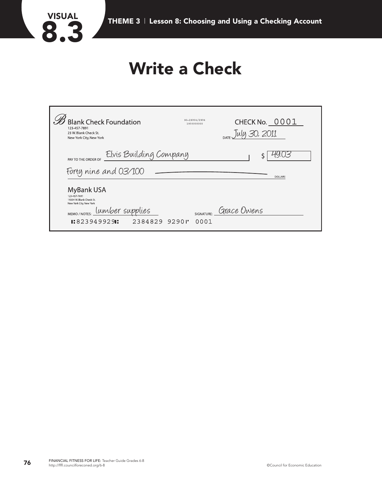

### **Write a Check**

| <b>Blank Check Foundation</b><br>123 457 7891<br>23 W. Blank Check St.<br>New York City, New York                                                          | 90-29304/2934<br>1930000000 | CHECK No. 0001<br>ly 30, 2011 |
|------------------------------------------------------------------------------------------------------------------------------------------------------------|-----------------------------|-------------------------------|
| Elvis Building Company<br>PAY TO THE ORDER OF                                                                                                              |                             |                               |
| Forty nine and 03/100                                                                                                                                      |                             | <b>DOLLARS</b>                |
| <b>MyBank USA</b><br>123-457-7891<br>19204 W. Blank Check St.<br>New York City, New York<br>lumber supplies<br>MEMO / NOTES:<br>$1:823949929$ :<br>2384829 | SIGNATURE:<br>92901<br>0001 | Grace Owens                   |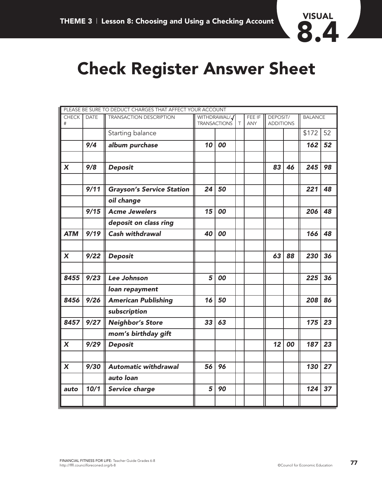

### **Check Register Answer Sheet**

|                   |             | PLEASE BE SURE TO DEDUCT CHARGES THAT AFFECT YOUR ACCOUNT |                                     |    |        |                      |                              |    |                |    |
|-------------------|-------------|-----------------------------------------------------------|-------------------------------------|----|--------|----------------------|------------------------------|----|----------------|----|
| <b>CHECK</b><br># | <b>DATE</b> | <b>TRANSACTION DESCRIPTION</b>                            | WITHDRAWAL/J<br><b>TRANSACTIONS</b> |    | $\top$ | FEE IF<br><b>ANY</b> | DEPOSIT/<br><b>ADDITIONS</b> |    | <b>BALANCE</b> |    |
|                   |             | Starting balance                                          |                                     |    |        |                      |                              |    | \$172          | 52 |
|                   | 9/4         | album purchase                                            | 10                                  | 00 |        |                      |                              |    | 162            | 52 |
|                   |             |                                                           |                                     |    |        |                      |                              |    |                |    |
| X                 | 9/8         | <b>Deposit</b>                                            |                                     |    |        |                      | 83                           | 46 | 245            | 98 |
|                   |             |                                                           |                                     |    |        |                      |                              |    |                |    |
|                   | 9/11        | <b>Grayson's Service Station</b>                          | 24                                  | 50 |        |                      |                              |    | 221            | 48 |
|                   |             | oil change                                                |                                     |    |        |                      |                              |    |                |    |
|                   | 9/15        | <b>Acme Jewelers</b>                                      | 15                                  | 00 |        |                      |                              |    | 206            | 48 |
|                   |             | deposit on class ring                                     |                                     |    |        |                      |                              |    |                |    |
| <b>ATM</b>        | 9/19        | <b>Cash withdrawal</b>                                    | 40                                  | 00 |        |                      |                              |    | 166            | 48 |
|                   |             |                                                           |                                     |    |        |                      |                              |    |                |    |
| $\boldsymbol{X}$  | 9/22        | <b>Deposit</b>                                            |                                     |    |        |                      | 63                           | 88 | 230            | 36 |
|                   |             |                                                           |                                     |    |        |                      |                              |    |                |    |
| 8455              | 9/23        | Lee Johnson                                               | 5                                   | 00 |        |                      |                              |    | 225            | 36 |
|                   |             | loan repayment                                            |                                     |    |        |                      |                              |    |                |    |
| 8456              | 9/26        | <b>American Publishing</b>                                | 16                                  | 50 |        |                      |                              |    | 208            | 86 |
|                   |             | subscription                                              |                                     |    |        |                      |                              |    |                |    |
| 8457              | 9/27        | <b>Neighbor's Store</b>                                   | 33                                  | 63 |        |                      |                              |    | 175            | 23 |
|                   |             | mom's birthday gift                                       |                                     |    |        |                      |                              |    |                |    |
| X                 | 9/29        | <b>Deposit</b>                                            |                                     |    |        |                      | 12                           | 00 | 187            | 23 |
|                   |             |                                                           |                                     |    |        |                      |                              |    |                |    |
| X                 | 9/30        | <b>Automatic withdrawal</b>                               | 56                                  | 96 |        |                      |                              |    | 130            | 27 |
|                   |             | auto loan                                                 |                                     |    |        |                      |                              |    |                |    |
| auto              | 10/1        | Service charge                                            | 5                                   | 90 |        |                      |                              |    | 124            | 37 |
|                   |             |                                                           |                                     |    |        |                      |                              |    |                |    |